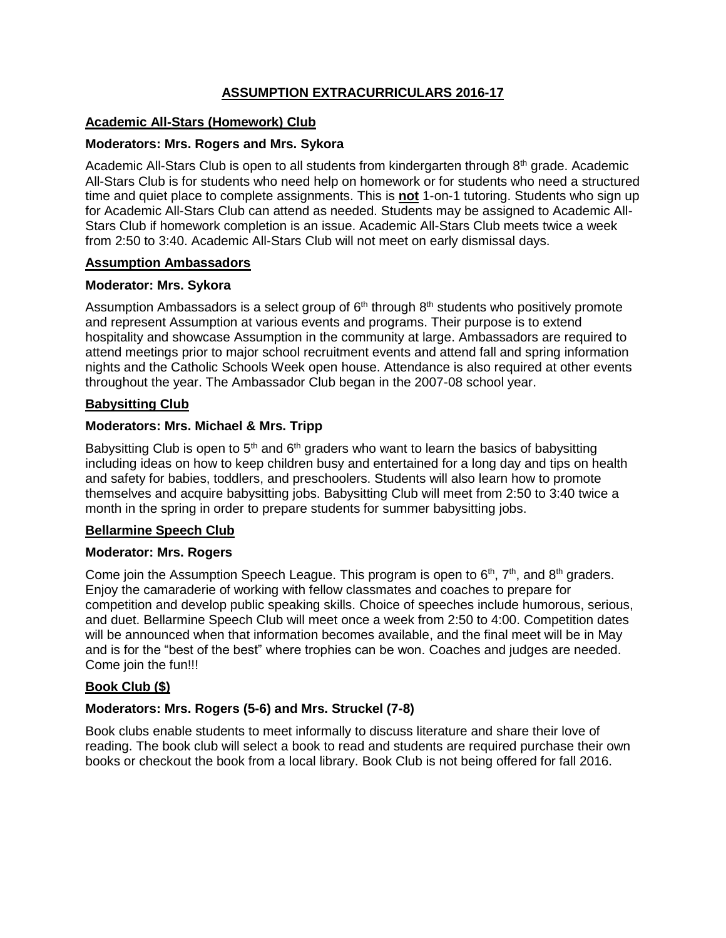# **ASSUMPTION EXTRACURRICULARS 2016-17**

# **Academic All-Stars (Homework) Club**

## **Moderators: Mrs. Rogers and Mrs. Sykora**

Academic All-Stars Club is open to all students from kindergarten through 8<sup>th</sup> grade. Academic All-Stars Club is for students who need help on homework or for students who need a structured time and quiet place to complete assignments. This is **not** 1-on-1 tutoring. Students who sign up for Academic All-Stars Club can attend as needed. Students may be assigned to Academic All-Stars Club if homework completion is an issue. Academic All-Stars Club meets twice a week from 2:50 to 3:40. Academic All-Stars Club will not meet on early dismissal days.

## **Assumption Ambassadors**

# **Moderator: Mrs. Sykora**

Assumption Ambassadors is a select group of  $6<sup>th</sup>$  through  $8<sup>th</sup>$  students who positively promote and represent Assumption at various events and programs. Their purpose is to extend hospitality and showcase Assumption in the community at large. Ambassadors are required to attend meetings prior to major school recruitment events and attend fall and spring information nights and the Catholic Schools Week open house. Attendance is also required at other events throughout the year. The Ambassador Club began in the 2007-08 school year.

# **Babysitting Club**

# **Moderators: Mrs. Michael & Mrs. Tripp**

Babysitting Club is open to  $5<sup>th</sup>$  and  $6<sup>th</sup>$  graders who want to learn the basics of babysitting including ideas on how to keep children busy and entertained for a long day and tips on health and safety for babies, toddlers, and preschoolers. Students will also learn how to promote themselves and acquire babysitting jobs. Babysitting Club will meet from 2:50 to 3:40 twice a month in the spring in order to prepare students for summer babysitting jobs.

## **Bellarmine Speech Club**

## **Moderator: Mrs. Rogers**

Come join the Assumption Speech League. This program is open to  $6<sup>th</sup>$ ,  $7<sup>th</sup>$ , and  $8<sup>th</sup>$  graders. Enjoy the camaraderie of working with fellow classmates and coaches to prepare for competition and develop public speaking skills. Choice of speeches include humorous, serious, and duet. Bellarmine Speech Club will meet once a week from 2:50 to 4:00. Competition dates will be announced when that information becomes available, and the final meet will be in May and is for the "best of the best" where trophies can be won. Coaches and judges are needed. Come join the fun!!!

# **Book Club (\$)**

# **Moderators: Mrs. Rogers (5-6) and Mrs. Struckel (7-8)**

Book clubs enable students to meet informally to discuss literature and share their love of reading. The book club will select a book to read and students are required purchase their own books or checkout the book from a local library. Book Club is not being offered for fall 2016.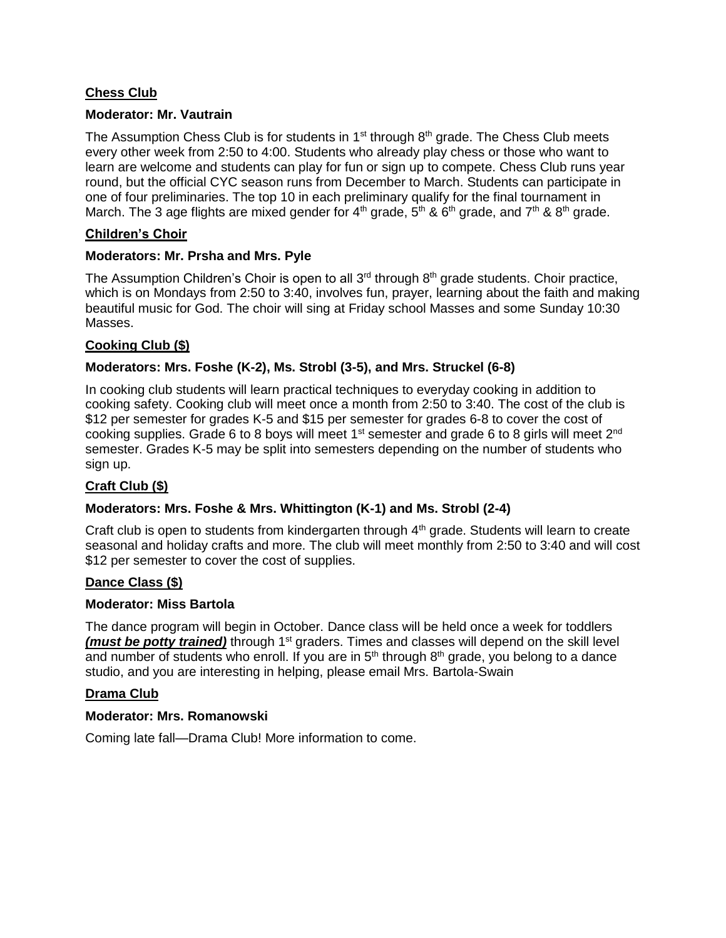# **Chess Club**

### **Moderator: Mr. Vautrain**

The Assumption Chess Club is for students in  $1<sup>st</sup>$  through  $8<sup>th</sup>$  grade. The Chess Club meets every other week from 2:50 to 4:00. Students who already play chess or those who want to learn are welcome and students can play for fun or sign up to compete. Chess Club runs year round, but the official CYC season runs from December to March. Students can participate in one of four preliminaries. The top 10 in each preliminary qualify for the final tournament in March. The 3 age flights are mixed gender for  $4<sup>th</sup>$  grade,  $5<sup>th</sup>$  &  $6<sup>th</sup>$  grade, and  $7<sup>th</sup>$  &  $8<sup>th</sup>$  grade.

### **Children's Choir**

### **Moderators: Mr. Prsha and Mrs. Pyle**

The Assumption Children's Choir is open to all  $3<sup>rd</sup>$  through  $8<sup>th</sup>$  grade students. Choir practice, which is on Mondays from 2:50 to 3:40, involves fun, prayer, learning about the faith and making beautiful music for God. The choir will sing at Friday school Masses and some Sunday 10:30 Masses.

# **Cooking Club (\$)**

## **Moderators: Mrs. Foshe (K-2), Ms. Strobl (3-5), and Mrs. Struckel (6-8)**

In cooking club students will learn practical techniques to everyday cooking in addition to cooking safety. Cooking club will meet once a month from 2:50 to 3:40. The cost of the club is \$12 per semester for grades K-5 and \$15 per semester for grades 6-8 to cover the cost of cooking supplies. Grade 6 to 8 boys will meet  $1<sup>st</sup>$  semester and grade 6 to 8 girls will meet  $2<sup>nd</sup>$ semester. Grades K-5 may be split into semesters depending on the number of students who sign up.

## **Craft Club (\$)**

## **Moderators: Mrs. Foshe & Mrs. Whittington (K-1) and Ms. Strobl (2-4)**

Craft club is open to students from kindergarten through  $4<sup>th</sup>$  grade. Students will learn to create seasonal and holiday crafts and more. The club will meet monthly from 2:50 to 3:40 and will cost \$12 per semester to cover the cost of supplies.

## **Dance Class (\$)**

#### **Moderator: Miss Bartola**

The dance program will begin in October. Dance class will be held once a week for toddlers *(must be potty trained)* through 1<sup>st</sup> graders. Times and classes will depend on the skill level and number of students who enroll. If you are in 5<sup>th</sup> through 8<sup>th</sup> grade, you belong to a dance studio, and you are interesting in helping, please email Mrs. Bartola-Swain

## **Drama Club**

#### **Moderator: Mrs. Romanowski**

Coming late fall—Drama Club! More information to come.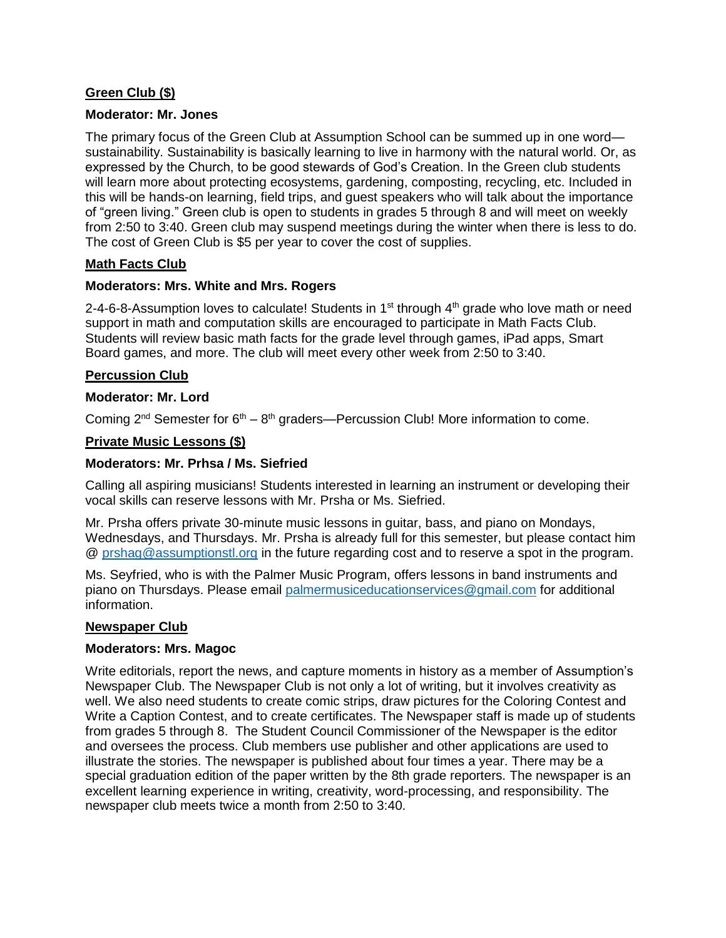# **Green Club (\$)**

### **Moderator: Mr. Jones**

The primary focus of the Green Club at Assumption School can be summed up in one word sustainability. Sustainability is basically learning to live in harmony with the natural world. Or, as expressed by the Church, to be good stewards of God's Creation. In the Green club students will learn more about protecting ecosystems, gardening, composting, recycling, etc. Included in this will be hands-on learning, field trips, and guest speakers who will talk about the importance of "green living." Green club is open to students in grades 5 through 8 and will meet on weekly from 2:50 to 3:40. Green club may suspend meetings during the winter when there is less to do. The cost of Green Club is \$5 per year to cover the cost of supplies.

### **Math Facts Club**

### **Moderators: Mrs. White and Mrs. Rogers**

2-4-6-8-Assumption loves to calculate! Students in  $1<sup>st</sup>$  through  $4<sup>th</sup>$  grade who love math or need support in math and computation skills are encouraged to participate in Math Facts Club. Students will review basic math facts for the grade level through games, iPad apps, Smart Board games, and more. The club will meet every other week from 2:50 to 3:40.

### **Percussion Club**

#### **Moderator: Mr. Lord**

Coming  $2^{nd}$  Semester for  $6^{th} - 8^{th}$  graders—Percussion Club! More information to come.

### **Private Music Lessons (\$)**

#### **Moderators: Mr. Prhsa / Ms. Siefried**

Calling all aspiring musicians! Students interested in learning an instrument or developing their vocal skills can reserve lessons with Mr. Prsha or Ms. Siefried.

Mr. Prsha offers private 30-minute music lessons in guitar, bass, and piano on Mondays, Wednesdays, and Thursdays. Mr. Prsha is already full for this semester, but please contact him @ [prshag@assumptionstl.org](mailto:prshag@assumptionstl.org) in the future regarding cost and to reserve a spot in the program.

Ms. Seyfried, who is with the Palmer Music Program, offers lessons in band instruments and piano on Thursdays. Please email [palmermusiceducationservices@gmail.com](mailto:palmermusiceducationservices@gmail.com) for additional information.

#### **Newspaper Club**

#### **Moderators: Mrs. Magoc**

Write editorials, report the news, and capture moments in history as a member of Assumption's Newspaper Club. The Newspaper Club is not only a lot of writing, but it involves creativity as well. We also need students to create comic strips, draw pictures for the Coloring Contest and Write a Caption Contest, and to create certificates. The Newspaper staff is made up of students from grades 5 through 8. The Student Council Commissioner of the Newspaper is the editor and oversees the process. Club members use publisher and other applications are used to illustrate the stories. The newspaper is published about four times a year. There may be a special graduation edition of the paper written by the 8th grade reporters. The newspaper is an excellent learning experience in writing, creativity, word-processing, and responsibility. The newspaper club meets twice a month from 2:50 to 3:40.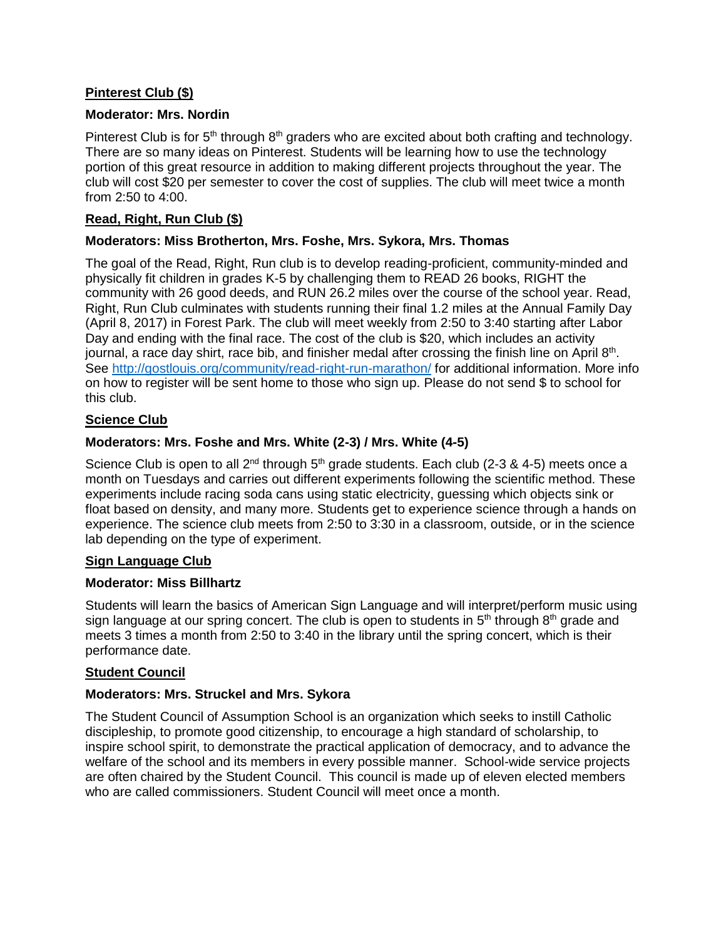# **Pinterest Club (\$)**

### **Moderator: Mrs. Nordin**

Pinterest Club is for  $5<sup>th</sup>$  through  $8<sup>th</sup>$  graders who are excited about both crafting and technology. There are so many ideas on Pinterest. Students will be learning how to use the technology portion of this great resource in addition to making different projects throughout the year. The club will cost \$20 per semester to cover the cost of supplies. The club will meet twice a month from 2:50 to 4:00.

### **Read, Right, Run Club (\$)**

### **Moderators: Miss Brotherton, Mrs. Foshe, Mrs. Sykora, Mrs. Thomas**

The goal of the Read, Right, Run club is to develop reading-proficient, community-minded and physically fit children in grades K-5 by challenging them to READ 26 books, RIGHT the community with 26 good deeds, and RUN 26.2 miles over the course of the school year. Read, Right, Run Club culminates with students running their final 1.2 miles at the Annual Family Day (April 8, 2017) in Forest Park. The club will meet weekly from 2:50 to 3:40 starting after Labor Day and ending with the final race. The cost of the club is \$20, which includes an activity journal, a race day shirt, race bib, and finisher medal after crossing the finish line on April 8<sup>th</sup>. See<http://gostlouis.org/community/read-right-run-marathon/> for additional information. More info on how to register will be sent home to those who sign up. Please do not send \$ to school for this club.

### **Science Club**

### **Moderators: Mrs. Foshe and Mrs. White (2-3) / Mrs. White (4-5)**

Science Club is open to all 2<sup>nd</sup> through 5<sup>th</sup> grade students. Each club (2-3 & 4-5) meets once a month on Tuesdays and carries out different experiments following the scientific method. These experiments include racing soda cans using static electricity, guessing which objects sink or float based on density, and many more. Students get to experience science through a hands on experience. The science club meets from 2:50 to 3:30 in a classroom, outside, or in the science lab depending on the type of experiment.

#### **Sign Language Club**

#### **Moderator: Miss Billhartz**

Students will learn the basics of American Sign Language and will interpret/perform music using sign language at our spring concert. The club is open to students in 5<sup>th</sup> through 8<sup>th</sup> grade and meets 3 times a month from 2:50 to 3:40 in the library until the spring concert, which is their performance date.

#### **Student Council**

#### **Moderators: Mrs. Struckel and Mrs. Sykora**

The Student Council of Assumption School is an organization which seeks to instill Catholic discipleship, to promote good citizenship, to encourage a high standard of scholarship, to inspire school spirit, to demonstrate the practical application of democracy, and to advance the welfare of the school and its members in every possible manner. School-wide service projects are often chaired by the Student Council. This council is made up of eleven elected members who are called commissioners. Student Council will meet once a month.